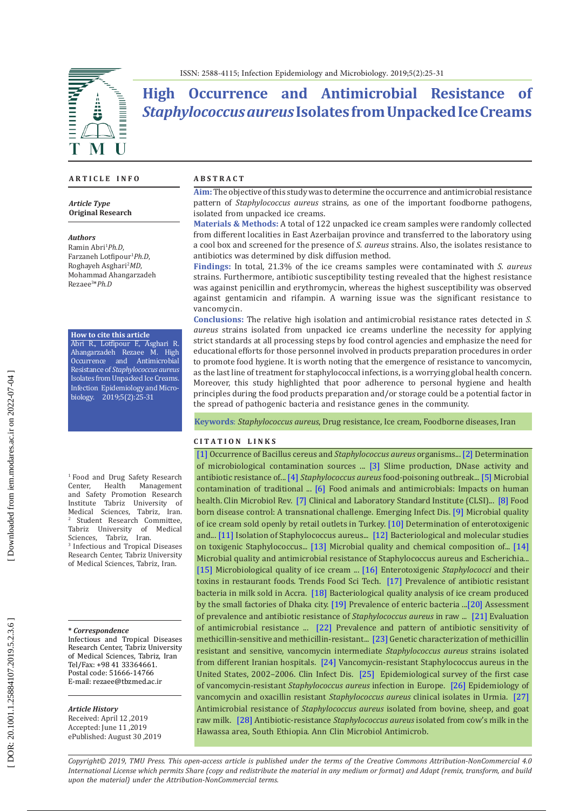ISSN: 2588-4115; Infection Epidemiology and Microbiology. 2019;5(2):25-31

# **High Occurrence and Antimicrobial Resistance of**  *Staphylococcus aureus* **Isolates from Unpacked Ice Creams**

#### **A R T I C L E I N F O**

*Article Type* **Original Research**

#### *Authors*

Ramin Abri 1 *Ph.D*, Farzaneh Lotfipour 1 *Ph.D*, Roghayeh Asghari 2 *MD*, Mohammad Ahangarzadeh Rezaee 3 \**Ph.D*

**How to cite this article** Abri R., Lotfipour F., Asghari R. Ahangarzadeh Rezaee M. High Occurrence and Antimicrobial Resistance of *Staphylococcus aureus* Isolates from Unpacked Ice Creams. Infection Epidemiology and Micro -

biology. 2019;5(2):25-31

<sup>1</sup> Food and Drug Safety Research<br>Center, Health Management Center, Health Management and Safety Promotion Research Institute Tabriz University of Medical Sciences, Tabriz, Iran. 2 <sup>2</sup> Student Research Committee,<br>Tabriz University of Medical University Sciences, Tabriz, Iran. 3 Infectious and Tropical Diseases Research Center, Tabriz University of Medical Sciences, Tabriz, Iran .

#### **\*** *Correspondence*

Infectious and Tropical Diseases Research Center, Tabriz University of Medical Sciences, Tabriz, Iran Tel/Fax: +98 41 33364661. Postal code: 51666-14766 E-mail: [rezaee@tbzmed.ac.ir](mailto:rezaee@tbzmed.ac.ir)

#### *Article History*

Received: April 12 ,2019 Accepted: June 11 ,2019 ePublished: August 30 ,2019

### **A B S T R A C T**

**Aim:**The objective of this study was to determine the occurrence and antimicrobial resistance pattern of *Staphylococcus aureus* strains*,* as one of the important foodborne pathogens, isolated from unpacked ice creams.

**Materials & Methods:** A total of 122 unpacked ice cream samples were randomly collected from different localities in East Azerbaijan province and transferred to the laboratory using a cool box and screened for the presence of *S. aureus* strains. Also, the isolates resistance to antibiotics was determined by disk diffusion method.

**Findings:** In total, 21.3% of the ice creams samples were contaminated with *S. aureus* strains. Furthermore, antibiotic susceptibility testing revealed that the highest resistance was against penicillin and erythromycin, whereas the highest susceptibility was observed against gentamicin and rifampin. A warning issue was the significant resistance to vancomycin.

**Conclusions:** The relative high isolation and antimicrobial resistance rates detected in *S. aureus* strains isolated from unpacked ice creams underline the necessity for applying strict standards at all processing steps by food control agencies and emphasize the need for educational efforts for those personnel involved in products preparation procedures in order to promote food hygiene. It is worth noting that the emergence of resistance to vancomycin, as the last line of treatment for staphylococcal infections, is a worrying global health concern. Moreover, this study highlighted that poor adherence to personal hygiene and health principles during the food products preparation and/or storage could be a potential factor in the spread of pathogenic bacteria and resistance genes in the community.

**Keywords**: *Staphylococcus aureus*, Drug resistance, Ice cream, Foodborne diseases, Iran

#### **C I T A T I O N L I N K S**

[\[1\]](https://pdfs.semanticscholar.org/7e2b/8560920eeb712d28f6dfd7a687fdc6e6ab5b.pdf) Occurrence of Bacillus cereus and *Staphylococcus aureus* organisms... [\[2\]](https://www.sciencedirect.com/science/article/pii/S0956713503001312) Determination of microbiological contamination sources ... [\[3\]](https://www.sciencedirect.com/science/article/pii/S0956713505000356) Slime production, DNase activity and antibiotic resistance of... [\[4\]](https://www.ncbi.nlm.nih.gov/pubmed/25033424) *Staphylococcus aureus* food-poisoning outbreak... [\[5\]](https://www.sid.ir/en/journal/ViewPaper.aspx?id=478496) Microbial contamination of traditional ... [\[6\]](https://www.ncbi.nlm.nih.gov/pubmed/21976606) Food animals and antimicrobials: Impacts on human health. Clin Microbiol Rev. [\[7\]](https://clsi.org/media/1469/m100s27_sample.pdf) Clinical and Laboratory Standard Institute (CLSI)... [\[8\]](https://www.ncbi.nlm.nih.gov/pubmed/9368787) Food born disease control: A transnational challenge. Emerging Infect Dis. [\[9\]](https://www.revmedvet.com/artdes-us.php?id=1457) Microbial quality of ice cream sold openly by retail outlets in Turkey. [\[10\]](https://www.ncbi.nlm.nih.gov/pubmed/23527618) Determination of enterotoxigenic and... [\[11\]](http://article.scholarena.com/Isolation-of-Staphylococcus-Aureus-from-Ice-Cream-Samples.pdf) Isolation of Staphylococcus aureus... [\[12\]](http://bvmj.journals.ekb.eg/article_31298_95bad364b355a96f691620f56234c930.pdf) Bacteriological and molecular studies on toxigenic Staphylococcus... [\[13\]](https://www.cabdirect.org/cabdirect/abstract/20153219767) Microbial quality and chemical composition of... [\[14\]](https://www.sid.ir/en/journal/ViewPaper.aspx?id=521892)  Microbial quality and antimicrobial resistance of Staphylococcus aureus and Escherichia... [\[15\]](https://scialert.net/fulltextmobile/?doi=pjn.2009.1397.1400) Microbiological quality of ice cream ... [\[16\]](https://www.sciencedirect.com/science/article/abs/pii/S0924224402000304) Enterotoxigenic *Staphylococci* and their toxins in restaurant foods. Trends Food Sci Tech. [\[17\]](https://www.researchgate.net/publication/255172761_Prevalence_of_antibiotic_resistant_bacteria_in_milk_sold_in_Accra) Prevalence of antibiotic resistant bacteria in milk sold in Accra. [\[18\]](http://www.ijhsr.org/IJHSR_Vol.6_Issue.12_Dec2016/35.pdf) Bacteriological quality analysis of ice cream produced by the small factories of Dhaka city. [\[19\]](https://search.emarefa.net/detail/BIM-590901/prevalence-of-enteric-bacteria-producing-toxins-in-ice-cream-and-kareish-cheese-in-port-said-city-markets/4) Prevalence of enteric bacteria ...[\[20\] A](http://ijhe.tums.ac.ir/browse.php?a_id=5619&sid=1&slc_lang=en)ssessment of prevalence and antibiotic resistance of *Staphylococcus aureus* in raw ... [\[21\]](https://www.hindawi.com/journals/ipid/2016/9171395/) Evaluation of antimicrobial resistance ... [\[22\]](https://www.sid.ir/en/journal/ViewPaper.aspx?id=34868) Prevalence and pattern of antibiotic sensitivity of methicillin-sensitive and methicillin-resistant... [\[23\]](https://www.ncbi.nlm.nih.gov/pmc/articles/PMC3664199/) Genetic characterization of methicillin resistant and sensitive, vancomycin intermediate *Staphylococcus aureus* strains isolated from different Iranian hospitals. [\[24\]](https://www.ncbi.nlm.nih.gov/pubmed/18257700) Vancomycin-resistant Staphylococcus aureus in the United States, 2002–2006. Clin Infect Dis. [\[25\]](https://www.ncbi.nlm.nih.gov/pubmed/24901752) Epidemiological survey of the first case of vancomycin-resistant *Staphylococcus aureus* infection in Europe. [\[26\] E](http://umj.umsu.ac.ir/browse.php?a_id=1917&sid=1&slc_lang=en)pidemiology of vancomycin and oxacillin resistant *Staphylococcus aureus* clinical isolates in Urmia. [\[27\]](https://www.cabdirect.org/cabdirect/abstract/20123118791)  Antimicrobial resistance of *Staphylococcus aureus* isolated from bovine, sheep, and goat raw milk. [\[28\]](https://www.ncbi.nlm.nih.gov/pubmed/25927182) Antibiotic-resistance *Staphylococcus aureus* isolated from cow's milk in the Hawassa area, South Ethiopia. Ann Clin Microbiol Antimicrob.

*Copyright© 2019, TMU Press. This open-access article is published under the terms of the Creative Commons Attribution-NonCommercial 4.0 International License which permits Share (copy and redistribute the material in any medium or format) and Adapt (remix, transform, and build upon the material) under the Attribution-NonCommercial terms.*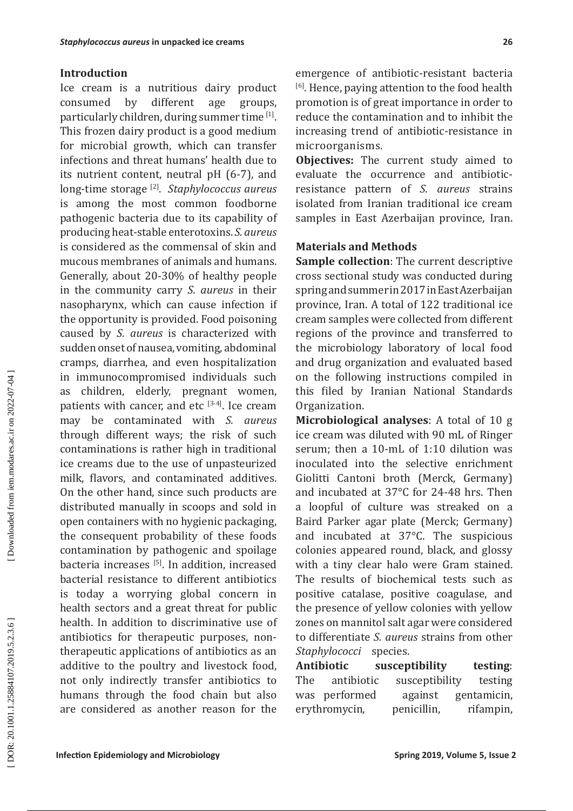### **Introduction**

Ice cream is a nutritious dairy product<br>consumed by different age groups. consumed by particularly children, during summer time [1]. This frozen dairy product is a good medium for microbial growth, which can transfer infections and threat humans' health due to its nutrient content, neutral pH (6-7), and long-time storage [2]. *Staphylococcus aureus* is among the most common foodborne pathogenic bacteria due to its capability of producing heat-stable enterotoxins. *S. aureus* is considered as the commensal of skin and mucous membranes of animals and humans. Generally, about 20-30% of healthy people in the community carry *S. aureus* in their nasopharynx, which can cause infection if the opportunity is provided. Food poisoning caused by *S. aureus* is characterized with sudden onset of nausea, vomiting, abdominal cramps, diarrhea, and even hospitalization in immunocompromised individuals such as children, elderly, pregnant women, patients with cancer, and etc  $[3-4]$ . Ice cream may be contaminated with *S. aureus* through different ways; the risk of such contaminations is rather high in traditional ice creams due to the use of unpasteurized milk, flavors, and contaminated additives. On the other hand, since such products are distributed manually in scoops and sold in open containers with no hygienic packaging, the consequent probability of these foods contamination by pathogenic and spoilage bacteria increases<sup>[5]</sup>. In addition, increased bacterial resistance to different antibiotics is today a worrying global concern in health sectors and a great threat for public health. In addition to discriminative use of antibiotics for therapeutic purposes, nontherapeutic applications of antibiotics as an additive to the poultry and livestock food, not only indirectly transfer antibiotics to humans through the food chain but also are considered as another reason for the

emergence of antibiotic-resistant bacteria [6]. Hence, paying attention to the food health promotion is of great importance in order to reduce the contamination and to inhibit the increasing trend of antibiotic-resistance in microorganisms.

**Objectives:** The current study aimed to evaluate the occurrence and antibioticresistance pattern of *S. aureus* strains isolated from Iranian traditional ice cream samples in East Azerbaijan province, Iran.

### **Materials and Methods**

**Sample collection**: The current descriptive cross sectional study was conducted during spring and summer in 2017 in East Azerbaijan province, Iran. A total of 122 traditional ice cream samples were collected from different regions of the province and transferred to the microbiology laboratory of local food and drug organization and evaluated based on the following instructions compiled in this filed by Iranian National Standards Organization.

**Microbiological analyses**: A total of 10 g ice cream was diluted with 90 mL of Ringer serum; then a 10-mL of 1:10 dilution was inoculated into the selective enrichment Giolitti Cantoni broth (Merck, Germany) and incubated at 37°C for 24-48 hrs. Then a loopful of culture was streaked on a Baird Parker agar plate (Merck; Germany) and incubated at 37°C. The suspicious colonies appeared round, black, and glossy with a tiny clear halo were Gram stained. The results of biochemical tests such as positive catalase, positive coagulase, and the presence of yellow colonies with yellow zones on mannitol salt agar were considered to differentiate *S. aureus* strains from other *Staphylococci* species.

**Antibiotic susceptibility testing**: susceptibility testing was performed against gentamicin, erythromycin, penicillin, rifampin,

Downloaded from iem.modares.ac.ir on 2022-07-04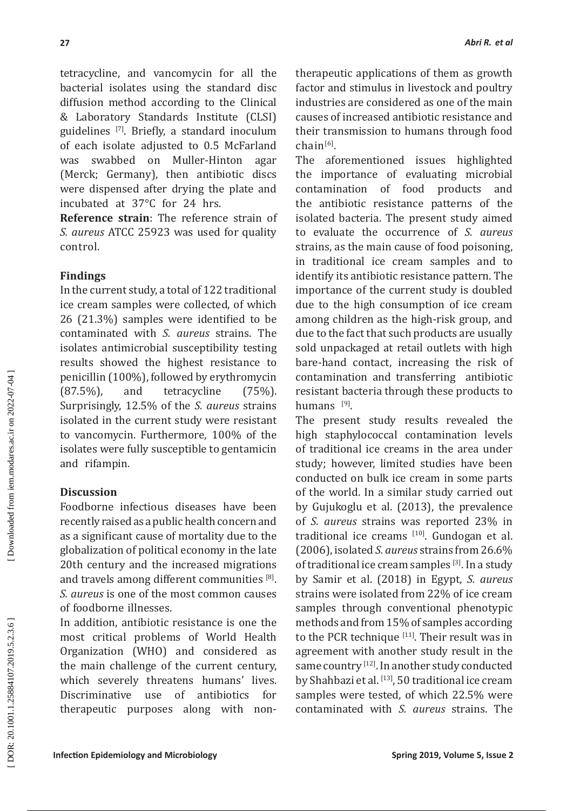tetracycline, and vancomycin for all the bacterial isolates using the standard disc diffusion method according to the Clinical & Laboratory Standards Institute (CLSI) guidelines [7]. Briefly, a standard inoculum of each isolate adjusted to 0.5 McFarland was swabbed on Muller-Hinton agar (Merck; Germany), then antibiotic discs were dispensed after drying the plate and incubated at 37°C for 24 hrs.

**Reference strain**: The reference strain of *S. aureus* ATCC 25923 was used for quality control.

### **Findings**

In the current study, a total of 122 traditional ice cream samples were collected, of which 26 (21.3%) samples were identified to be contaminated with *S. aureus* strains. The isolates antimicrobial susceptibility testing results showed the highest resistance to penicillin (100%), followed by erythromycin (87.5%), and tetracycline (75%). Surprisingly, 12.5% of the *S. aureus* strains isolated in the current study were resistant to vancomycin. Furthermore, 100% of the isolates were fully susceptible to gentamicin and rifampin.

### **Discussion**

Foodborne infectious diseases have been recently raised as a public health concern and as a significant cause of mortality due to the globalization of political economy in the late 20th century and the increased migrations and travels among different communities  $^{[8]}$ . *S. aureus* is one of the most common causes of foodborne illnesses.

In addition, antibiotic resistance is one the most critical problems of World Health Organization (WHO) and considered as the main challenge of the current century, which severely threatens humans' lives.<br>Discriminative use of antibiotics for Discriminative use of antibiotics for therapeutic purposes along with nontherapeutic applications of them as growth factor and stimulus in livestock and poultry industries are considered as one of the main causes of increased antibiotic resistance and their transmission to humans through food chain<sup>[6]</sup>.

The aforementioned issues highlighted the importance of evaluating microbial contamination of food products and the antibiotic resistance patterns of the isolated bacteria. The present study aimed to evaluate the occurrence of *S. aureus* strains, as the main cause of food poisoning, in traditional ice cream samples and to identify its antibiotic resistance pattern. The importance of the current study is doubled due to the high consumption of ice cream among children as the high-risk group, and due to the fact that such products are usually sold unpackaged at retail outlets with high bare-hand contact, increasing the risk of contamination and transferring antibiotic resistant bacteria through these products to humans [9].

The present study results revealed the high staphylococcal contamination levels of traditional ice creams in the area under study; however, limited studies have been conducted on bulk ice cream in some parts of the world. In a similar study carried out by Gujukoglu et al. (2013), the prevalence of *S. aureus* strains was reported 23% in traditional ice creams [10]. Gundogan et al. (2006), isolated *S. aureus* strains from 26.6% of traditional ice cream samples [3]. In a study by Samir et al. (2018) in Egypt, *S. aureus* strains were isolated from 22% of ice cream samples through conventional phenotypic methods and from 15% of samples according to the PCR technique [11]. Their result was in agreement with another study result in the same country [12]. In another study conducted by Shahbazi et al. [13], 50 traditional ice cream samples were tested, of which 22.5% were contaminated with *S. aureus* strains. The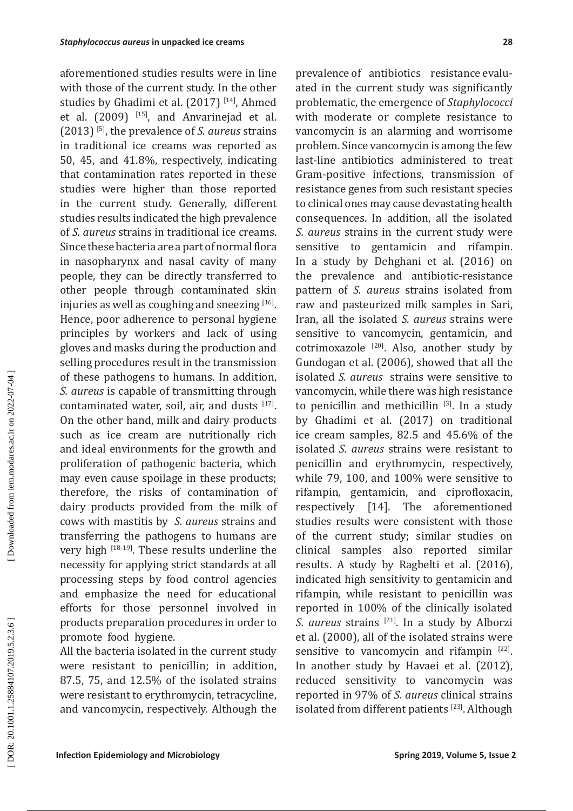aforementioned studies results were in line with those of the current study. In the other studies by Ghadimi et al. (2017)<sup>[14]</sup>, Ahmed et al.  $(2009)$  <sup>[15]</sup>, and Anvarinejad et al. (2013) [5], the prevalence of *S. aureus* strains in traditional ice creams was reported as 50, 45, and 41.8%, respectively, indicating that contamination rates reported in these studies were higher than those reported in the current study. Generally, different studies results indicated the high prevalence of *S. aureus* strains in traditional ice creams. Since these bacteria are a part of normal flora in nasopharynx and nasal cavity of many people, they can be directly transferred to other people through contaminated skin injuries as well as coughing and sneezing [16]. Hence, poor adherence to personal hygiene principles by workers and lack of using gloves and masks during the production and selling procedures result in the transmission of these pathogens to humans. In addition, *S. aureus* is capable of transmitting through contaminated water, soil, air, and dusts [17]. On the other hand, milk and dairy products such as ice cream are nutritionally rich and ideal environments for the growth and proliferation of pathogenic bacteria, which may even cause spoilage in these products; therefore, the risks of contamination of dairy products provided from the milk of cows with mastitis by *S. aureus* strains and transferring the pathogens to humans are very high [18-19]. These results underline the necessity for applying strict standards at all processing steps by food control agencies and emphasize the need for educational efforts for those personnel involved in products preparation procedures in order to promote food hygiene.

All the bacteria isolated in the current study were resistant to penicillin; in addition, 87.5, 75, and 12.5% of the isolated strains were resistant to erythromycin, tetracycline, and vancomycin, respectively. Although the

prevalence of antibiotics resistance evaluated in the current study was significantly problematic, the emergence of *Staphylococci* with moderate or complete resistance to vancomycin is an alarming and worrisome problem. Since vancomycin is among the few last-line antibiotics administered to treat Gram-positive infections, transmission of resistance genes from such resistant species to clinical ones may cause devastating health consequences. In addition, all the isolated *S. aureus* strains in the current study were sensitive to gentamicin and rifampin. In a study by Dehghani et al. (2016) on the prevalence and antibiotic-resistance pattern of *S. aureus* strains isolated from raw and pasteurized milk samples in Sari, Iran, all the isolated *S. aureus* strains were sensitive to vancomycin, gentamicin, and cotrimoxazole  $[20]$ . Also, another study by Gundogan et al. (2006), showed that all the isolated *S. aureus* strains were sensitive to vancomycin, while there was high resistance to penicillin and methicillin [3]. In a study by Ghadimi et al. (2017) on traditional ice cream samples, 82.5 and 45.6% of the isolated *S. aureus* strains were resistant to penicillin and erythromycin, respectively, while 79, 100, and 100% were sensitive to rifampin, gentamicin, and ciprofloxacin, respectively [14]. The aforementioned studies results were consistent with those of the current study; similar studies on clinical samples also reported similar results. A study by Ragbelti et al. (2016), indicated high sensitivity to gentamicin and rifampin, while resistant to penicillin was reported in 100% of the clinically isolated *S. aureus* strains [21]. In a study by Alborzi et al. (2000), all of the isolated strains were sensitive to vancomycin and rifampin [22]. In another study by Havaei et al. (2012), reduced sensitivity to vancomycin was reported in 97% of *S. aureus* clinical strains isolated from different patients<sup>[23]</sup>. Although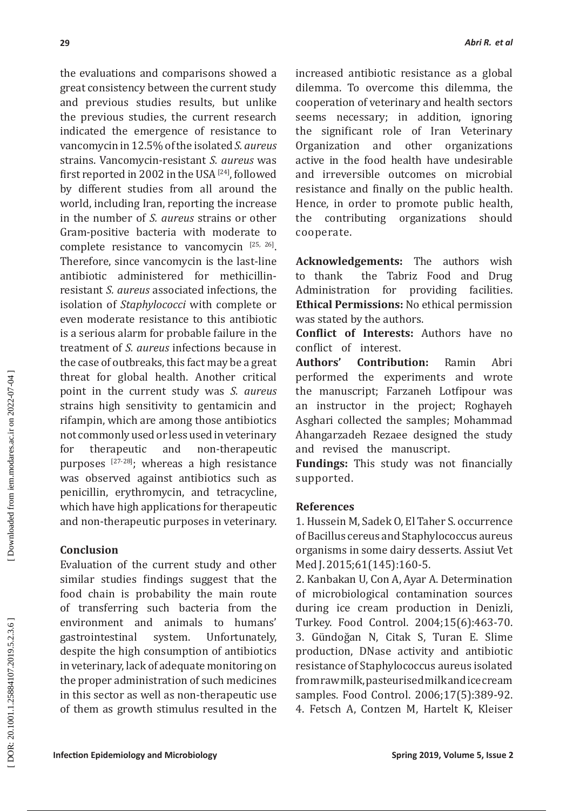the evaluations and comparisons showed a great consistency between the current study and previous studies results, but unlike the previous studies, the current research indicated the emergence of resistance to vancomycin in 12.5% of the isolated *S. aureus* strains. Vancomycin-resistant *S. aureus* was first reported in 2002 in the USA<sup>[24]</sup>, followed by different studies from all around the world, including Iran, reporting the increase in the number of *S. aureus* strains or other Gram-positive bacteria with moderate to complete resistance to vancomycin [25, 26]. Therefore, since vancomycin is the last-line antibiotic administered for methicillinresistant *S. aureus* associated infections, the isolation of *Staphylococci* with complete or even moderate resistance to this antibiotic is a serious alarm for probable failure in the treatment of *S. aureus* infections because in the case of outbreaks, this fact may be a great threat for global health. Another critical point in the current study was *S. aureus* strains high sensitivity to gentamicin and rifampin, which are among those antibiotics not commonly used or less used in veterinary<br>for therapeutic and non-therapeutic for therapeutic and non-therapeutic purposes [27-28]; whereas a high resistance was observed against antibiotics such as penicillin, erythromycin, and tetracycline, which have high applications for therapeutic and non-therapeutic purposes in veterinary.

### **Conclusion**

Evaluation of the current study and other similar studies findings suggest that the food chain is probability the main route of transferring such bacteria from the environment and animals to humans'<br>gastrointestinal system. Unfortunately, gastrointestinal despite the high consumption of antibiotics in veterinary, lack of adequate monitoring on the proper administration of such medicines in this sector as well as non-therapeutic use of them as growth stimulus resulted in the increased antibiotic resistance as a global dilemma. To overcome this dilemma, the cooperation of veterinary and health sectors seems necessary; in addition, ignoring the significant role of Iran Veterinary Organization and other organizations active in the food health have undesirable and irreversible outcomes on microbial resistance and finally on the public health. Hence, in order to promote public health,<br>the contributing organizations should the contributing organizations cooperate.

**Acknowledgements:** The authors wish to thank the Tabriz Food and Drug<br>Administration for providing facilities. providing facilities. **Ethical Permissions:** No ethical permission was stated by the authors.

**Conflict of Interests:** Authors have no conflict of interest.<br>Authors' Contribu

**Contribution:** Ramin Abri performed the experiments and wrote the manuscript; Farzaneh Lotfipour was an instructor in the project; Roghayeh Asghari collected the samples; Mohammad Ahangarzadeh Rezaee designed the study and revised the manuscript.

**Fundings:** This study was not financially supported.

## **References**

1. Hussein M, Sadek O, El Taher S. occurrence of Bacillus cereus and Staphylococcus aureus organisms in some dairy desserts. Assiut Vet Med J. 2015;61(145):160-5.

2. Kanbakan U, Con A, Ayar A. Determination of microbiological contamination sources during ice cream production in Denizli, Turkey. Food Control. 2004;15(6):463-70. 3. Gündoğan N, Citak S, Turan E. Slime production, DNase activity and antibiotic resistance of Staphylococcus aureus isolated from raw milk, pasteurised milk and ice cream samples. Food Control. 2006;17(5):389-92. 4. Fetsch A, Contzen M, Hartelt K, Kleiser

*Abri R. et al*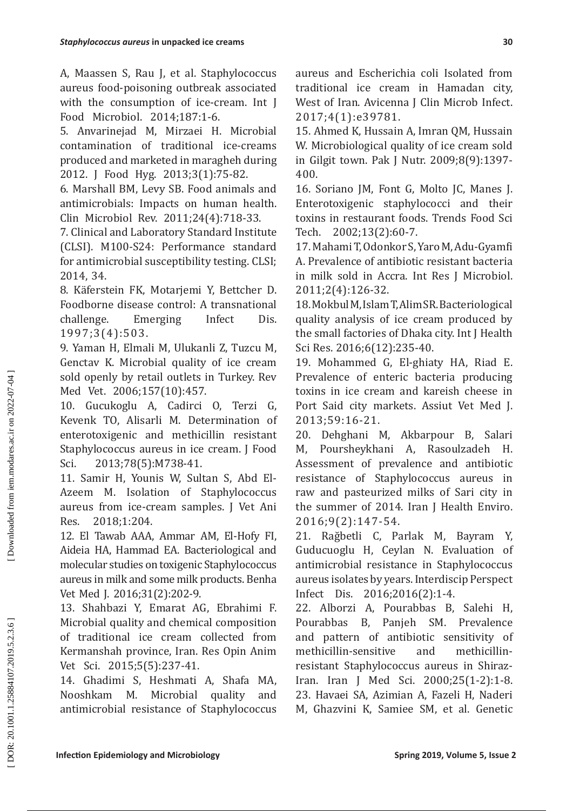A, Maassen S, Rau J, et al. Staphylococcus aureus food-poisoning outbreak associated with the consumption of ice-cream. Int J Food Microbiol. 2014;187:1-6.

5. Anvarinejad M, Mirzaei H. Microbial contamination of traditional ice-creams produced and marketed in maragheh during 2012. J Food Hyg. 2013;3(1):75-82.

6. Marshall BM, Levy SB. Food animals and antimicrobials: Impacts on human health. Clin Microbiol Rev. 2011;24(4):718-33.

7. Clinical and Laboratory Standard Institute (CLSI). M100-S24: Performance standard for antimicrobial susceptibility testing. CLSI; 2014, 34.

8. Käferstein FK, Motarjemi Y, Bettcher D. Foodborne disease control: A transnational challenge. Emerging Infect Dis. 1997;3(4):503.

9. Yaman H, Elmali M, Ulukanli Z, Tuzcu M, Genctav K. Microbial quality of ice cream sold openly by retail outlets in Turkey. Rev Med Vet. 2006;157(10):457.

10. Gucukoglu A, Cadirci O, Terzi G, Kevenk TO, Alisarli M. Determination of enterotoxigenic and methicillin resistant Staphylococcus aureus in ice cream. J Food Sci. 2013;78(5):M738-41.

11. Samir H, Younis W, Sultan S, Abd El-Azeem M. Isolation of Staphylococcus aureus from ice-cream samples. J Vet Ani Res. 2018;1:204.

12. El Tawab AAA, Ammar AM, El-Hofy FI, Aideia HA, Hammad EA. Bacteriological and molecular studies on toxigenic Staphylococcus aureus in milk and some milk products. Benha Vet Med J. 2016;31(2):202-9.

13. Shahbazi Y, Emarat AG, Ebrahimi F. Microbial quality and chemical composition of traditional ice cream collected from Kermanshah province, Iran. Res Opin Anim Vet Sci. 2015;5(5):237-41.

14. Ghadimi S, Heshmati A, Shafa MA, Nooshkam M. Microbial quality and antimicrobial resistance of Staphylococcus aureus and Escherichia coli Isolated from traditional ice cream in Hamadan city, West of Iran. Avicenna J Clin Microb Infect. 2017;4(1):e39781.

15. Ahmed K, Hussain A, Imran QM, Hussain W. Microbiological quality of ice cream sold in Gilgit town. Pak J Nutr. 2009;8(9):1397- 400.

16. Soriano JM, Font G, Molto JC, Manes J. Enterotoxigenic staphylococci and their toxins in restaurant foods. Trends Food Sci Tech. 2002;13(2):60-7.

17.Mahami T, Odonkor S, Yaro M, Adu-Gyamfi A. Prevalence of antibiotic resistant bacteria in milk sold in Accra. Int Res J Microbiol. 2011;2(4):126-32.

18.Mokbul M, Islam T, Alim SR. Bacteriological quality analysis of ice cream produced by the small factories of Dhaka city. Int J Health Sci Res. 2016;6(12):235-40.

19. Mohammed G, El-ghiaty HA, Riad E. Prevalence of enteric bacteria producing toxins in ice cream and kareish cheese in Port Said city markets. Assiut Vet Med J. 2013;59:16-21.

20. Dehghani M, Akbarpour B, Salari M, Poursheykhani A, Rasoulzadeh H. Assessment of prevalence and antibiotic resistance of Staphylococcus aureus in raw and pasteurized milks of Sari city in the summer of 2014. Iran J Health Enviro. 2016;9(2):147-54.

21. Rağbetli C, Parlak M, Bayram Y, Guducuoglu H, Ceylan N. Evaluation of antimicrobial resistance in Staphylococcus aureus isolates by years. Interdiscip Perspect Infect Dis. 2016;2016(2):1-4.

22. Alborzi A, Pourabbas B, Salehi H, Pourabbas B, Panjeh SM. Prevalence and pattern of antibiotic sensitivity of methicillin-sensitive and methicillinresistant Staphylococcus aureus in Shiraz-Iran. Iran J Med Sci. 2000;25(1-2):1-8. 23. Havaei SA, Azimian A, Fazeli H, Naderi M, Ghazvini K, Samiee SM, et al. Genetic